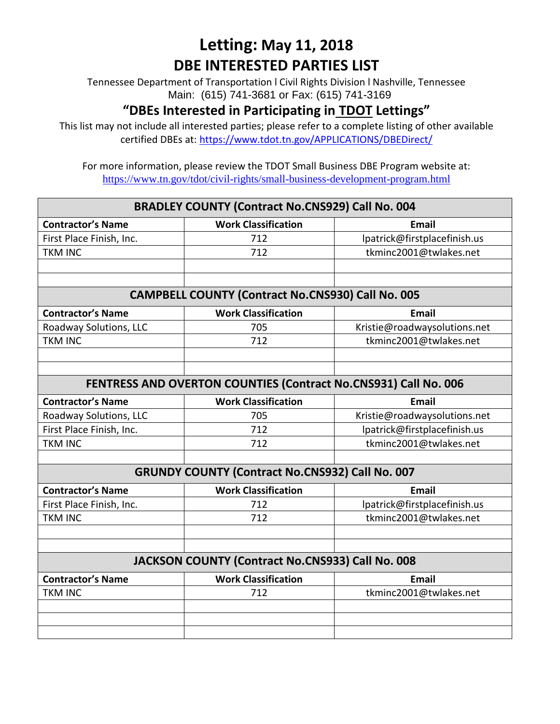Tennessee Department of Transportation l Civil Rights Division l Nashville, Tennessee Main: (615) 741-3681 or Fax: (615) 741-3169

#### **"DBEs Interested in Participating in TDOT Lettings"**

This list may not include all interested parties; please refer to a complete listing of other available certified DBEs at:<https://www.tdot.tn.gov/APPLICATIONS/DBEDirect/>

| <b>BRADLEY COUNTY (Contract No.CNS929) Call No. 004</b>         |                                                          |                              |  |
|-----------------------------------------------------------------|----------------------------------------------------------|------------------------------|--|
| <b>Contractor's Name</b>                                        | <b>Work Classification</b>                               | <b>Email</b>                 |  |
| First Place Finish, Inc.                                        | 712                                                      | lpatrick@firstplacefinish.us |  |
| <b>TKM INC</b>                                                  | 712                                                      | tkminc2001@twlakes.net       |  |
|                                                                 |                                                          |                              |  |
|                                                                 |                                                          |                              |  |
|                                                                 | <b>CAMPBELL COUNTY (Contract No.CNS930) Call No. 005</b> |                              |  |
| <b>Contractor's Name</b>                                        | <b>Work Classification</b>                               | <b>Email</b>                 |  |
| Roadway Solutions, LLC                                          | 705                                                      | Kristie@roadwaysolutions.net |  |
| <b>TKM INC</b>                                                  | 712                                                      | tkminc2001@twlakes.net       |  |
|                                                                 |                                                          |                              |  |
|                                                                 |                                                          |                              |  |
| FENTRESS AND OVERTON COUNTIES (Contract No.CNS931) Call No. 006 |                                                          |                              |  |
| <b>Contractor's Name</b>                                        | <b>Work Classification</b>                               | <b>Email</b>                 |  |
| Roadway Solutions, LLC                                          | 705                                                      | Kristie@roadwaysolutions.net |  |
| First Place Finish, Inc.                                        | 712                                                      | lpatrick@firstplacefinish.us |  |
| <b>TKM INC</b>                                                  | 712                                                      | tkminc2001@twlakes.net       |  |
|                                                                 |                                                          |                              |  |
|                                                                 | <b>GRUNDY COUNTY (Contract No.CNS932) Call No. 007</b>   |                              |  |
| <b>Contractor's Name</b>                                        | <b>Work Classification</b>                               | <b>Email</b>                 |  |
| First Place Finish, Inc.                                        | 712                                                      | lpatrick@firstplacefinish.us |  |
| <b>TKM INC</b>                                                  | 712                                                      | tkminc2001@twlakes.net       |  |
|                                                                 |                                                          |                              |  |
|                                                                 |                                                          |                              |  |
|                                                                 | JACKSON COUNTY (Contract No.CNS933) Call No. 008         |                              |  |
| <b>Contractor's Name</b>                                        | <b>Work Classification</b>                               | <b>Email</b>                 |  |
| <b>TKM INC</b>                                                  | 712                                                      | tkminc2001@twlakes.net       |  |
|                                                                 |                                                          |                              |  |
|                                                                 |                                                          |                              |  |
|                                                                 |                                                          |                              |  |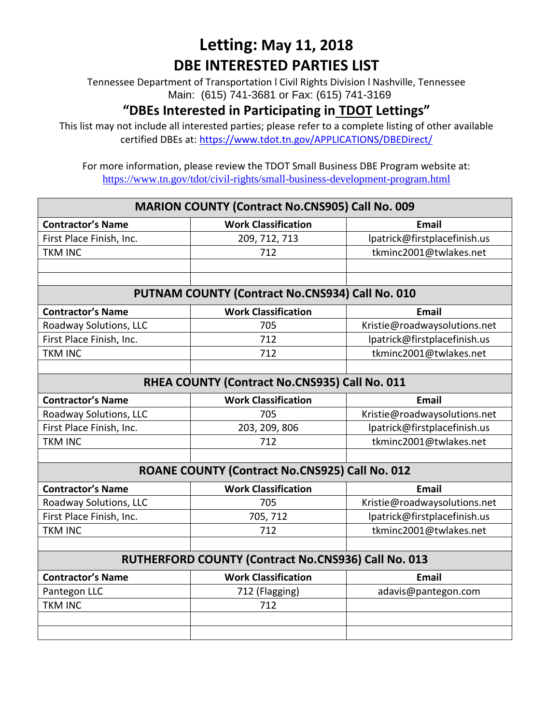Tennessee Department of Transportation l Civil Rights Division l Nashville, Tennessee Main: (615) 741-3681 or Fax: (615) 741-3169

#### **"DBEs Interested in Participating in TDOT Lettings"**

This list may not include all interested parties; please refer to a complete listing of other available certified DBEs at:<https://www.tdot.tn.gov/APPLICATIONS/DBEDirect/>

| <b>MARION COUNTY (Contract No.CNS905) Call No. 009</b> |                                                 |                              |  |
|--------------------------------------------------------|-------------------------------------------------|------------------------------|--|
| <b>Contractor's Name</b>                               | <b>Work Classification</b>                      | <b>Email</b>                 |  |
| First Place Finish, Inc.                               | 209, 712, 713                                   | lpatrick@firstplacefinish.us |  |
| <b>TKM INC</b>                                         | 712                                             | tkminc2001@twlakes.net       |  |
|                                                        |                                                 |                              |  |
|                                                        |                                                 |                              |  |
|                                                        | PUTNAM COUNTY (Contract No.CNS934) Call No. 010 |                              |  |
| <b>Contractor's Name</b>                               | <b>Work Classification</b>                      | <b>Email</b>                 |  |
| Roadway Solutions, LLC                                 | 705                                             | Kristie@roadwaysolutions.net |  |
| First Place Finish, Inc.                               | 712                                             | lpatrick@firstplacefinish.us |  |
| <b>TKM INC</b>                                         | 712                                             | tkminc2001@twlakes.net       |  |
|                                                        |                                                 |                              |  |
| RHEA COUNTY (Contract No.CNS935) Call No. 011          |                                                 |                              |  |
| <b>Contractor's Name</b>                               | <b>Work Classification</b>                      | <b>Email</b>                 |  |
| Roadway Solutions, LLC                                 | 705                                             | Kristie@roadwaysolutions.net |  |
| First Place Finish, Inc.                               | 203, 209, 806                                   | lpatrick@firstplacefinish.us |  |
| <b>TKM INC</b>                                         | 712                                             | tkminc2001@twlakes.net       |  |
|                                                        |                                                 |                              |  |
|                                                        | ROANE COUNTY (Contract No.CNS925) Call No. 012  |                              |  |
| <b>Contractor's Name</b>                               | <b>Work Classification</b>                      | <b>Email</b>                 |  |
| Roadway Solutions, LLC                                 | 705                                             | Kristie@roadwaysolutions.net |  |
| First Place Finish, Inc.                               | 705, 712                                        | lpatrick@firstplacefinish.us |  |
| <b>TKM INC</b>                                         | 712                                             | tkminc2001@twlakes.net       |  |
|                                                        |                                                 |                              |  |
| RUTHERFORD COUNTY (Contract No.CNS936) Call No. 013    |                                                 |                              |  |
| <b>Contractor's Name</b>                               | <b>Work Classification</b>                      | <b>Email</b>                 |  |
| Pantegon LLC                                           | 712 (Flagging)                                  | adavis@pantegon.com          |  |
| <b>TKM INC</b>                                         | 712                                             |                              |  |
|                                                        |                                                 |                              |  |
|                                                        |                                                 |                              |  |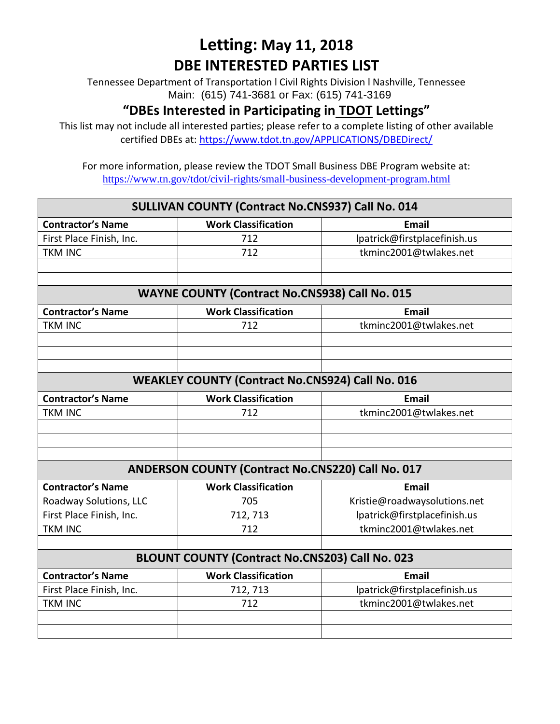Tennessee Department of Transportation l Civil Rights Division l Nashville, Tennessee Main: (615) 741-3681 or Fax: (615) 741-3169

#### **"DBEs Interested in Participating in TDOT Lettings"**

This list may not include all interested parties; please refer to a complete listing of other available certified DBEs at:<https://www.tdot.tn.gov/APPLICATIONS/DBEDirect/>

| SULLIVAN COUNTY (Contract No.CNS937) Call No. 014 |                                                         |                              |  |
|---------------------------------------------------|---------------------------------------------------------|------------------------------|--|
| <b>Contractor's Name</b>                          | <b>Work Classification</b>                              | <b>Email</b>                 |  |
| First Place Finish, Inc.                          | 712                                                     | lpatrick@firstplacefinish.us |  |
| <b>TKM INC</b>                                    | 712                                                     | tkminc2001@twlakes.net       |  |
|                                                   |                                                         |                              |  |
|                                                   |                                                         |                              |  |
|                                                   | <b>WAYNE COUNTY (Contract No.CNS938) Call No. 015</b>   |                              |  |
| <b>Contractor's Name</b>                          | <b>Work Classification</b>                              | <b>Email</b>                 |  |
| <b>TKM INC</b>                                    | 712                                                     | tkminc2001@twlakes.net       |  |
|                                                   |                                                         |                              |  |
|                                                   |                                                         |                              |  |
|                                                   |                                                         |                              |  |
|                                                   | <b>WEAKLEY COUNTY (Contract No.CNS924) Call No. 016</b> |                              |  |
| <b>Contractor's Name</b>                          | <b>Work Classification</b>                              | <b>Email</b>                 |  |
| <b>TKM INC</b>                                    | 712                                                     | tkminc2001@twlakes.net       |  |
|                                                   |                                                         |                              |  |
|                                                   |                                                         |                              |  |
|                                                   |                                                         |                              |  |
|                                                   | ANDERSON COUNTY (Contract No.CNS220) Call No. 017       |                              |  |
| <b>Contractor's Name</b>                          | <b>Work Classification</b>                              | <b>Email</b>                 |  |
| Roadway Solutions, LLC                            | 705                                                     | Kristie@roadwaysolutions.net |  |
| First Place Finish, Inc.                          | 712, 713                                                | lpatrick@firstplacefinish.us |  |
| <b>TKM INC</b>                                    | 712                                                     | tkminc2001@twlakes.net       |  |
|                                                   |                                                         |                              |  |
|                                                   | <b>BLOUNT COUNTY (Contract No.CNS203) Call No. 023</b>  |                              |  |
| <b>Contractor's Name</b>                          | <b>Work Classification</b>                              | <b>Email</b>                 |  |
| First Place Finish, Inc.                          | 712, 713                                                | lpatrick@firstplacefinish.us |  |
| <b>TKM INC</b>                                    | 712                                                     | tkminc2001@twlakes.net       |  |
|                                                   |                                                         |                              |  |
|                                                   |                                                         |                              |  |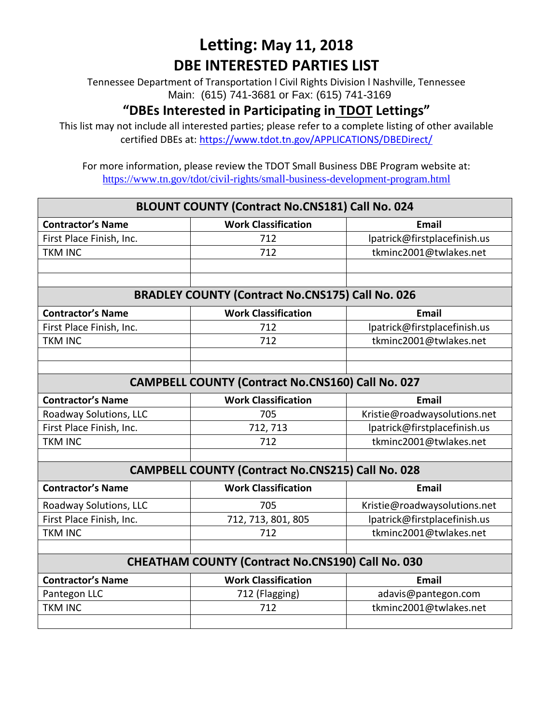Tennessee Department of Transportation l Civil Rights Division l Nashville, Tennessee Main: (615) 741-3681 or Fax: (615) 741-3169

#### **"DBEs Interested in Participating in TDOT Lettings"**

This list may not include all interested parties; please refer to a complete listing of other available certified DBEs at:<https://www.tdot.tn.gov/APPLICATIONS/DBEDirect/>

| <b>BLOUNT COUNTY (Contract No.CNS181) Call No. 024</b> |                                                          |                              |  |
|--------------------------------------------------------|----------------------------------------------------------|------------------------------|--|
| <b>Contractor's Name</b>                               | <b>Work Classification</b>                               | <b>Email</b>                 |  |
| First Place Finish, Inc.                               | 712                                                      | lpatrick@firstplacefinish.us |  |
| <b>TKM INC</b>                                         | 712                                                      | tkminc2001@twlakes.net       |  |
|                                                        |                                                          |                              |  |
|                                                        |                                                          |                              |  |
|                                                        | <b>BRADLEY COUNTY (Contract No.CNS175) Call No. 026</b>  |                              |  |
| <b>Contractor's Name</b>                               | <b>Work Classification</b>                               | <b>Email</b>                 |  |
| First Place Finish, Inc.                               | 712                                                      | lpatrick@firstplacefinish.us |  |
| <b>TKM INC</b>                                         | 712                                                      | tkminc2001@twlakes.net       |  |
|                                                        |                                                          |                              |  |
|                                                        |                                                          |                              |  |
|                                                        | <b>CAMPBELL COUNTY (Contract No.CNS160) Call No. 027</b> |                              |  |
| <b>Contractor's Name</b>                               | <b>Work Classification</b>                               | <b>Email</b>                 |  |
| Roadway Solutions, LLC                                 | 705                                                      | Kristie@roadwaysolutions.net |  |
| First Place Finish, Inc.                               | 712, 713                                                 | lpatrick@firstplacefinish.us |  |
| <b>TKM INC</b>                                         | 712                                                      | tkminc2001@twlakes.net       |  |
|                                                        |                                                          |                              |  |
|                                                        | <b>CAMPBELL COUNTY (Contract No.CNS215) Call No. 028</b> |                              |  |
| <b>Contractor's Name</b>                               | <b>Work Classification</b>                               | <b>Email</b>                 |  |
| Roadway Solutions, LLC                                 | 705                                                      | Kristie@roadwaysolutions.net |  |
| First Place Finish, Inc.                               | 712, 713, 801, 805                                       | lpatrick@firstplacefinish.us |  |
| <b>TKM INC</b>                                         | 712                                                      | tkminc2001@twlakes.net       |  |
|                                                        |                                                          |                              |  |
|                                                        | <b>CHEATHAM COUNTY (Contract No.CNS190) Call No. 030</b> |                              |  |
| <b>Contractor's Name</b>                               | <b>Work Classification</b>                               | <b>Email</b>                 |  |
| Pantegon LLC                                           | 712 (Flagging)                                           | adavis@pantegon.com          |  |
| <b>TKM INC</b>                                         | 712                                                      | tkminc2001@twlakes.net       |  |
|                                                        |                                                          |                              |  |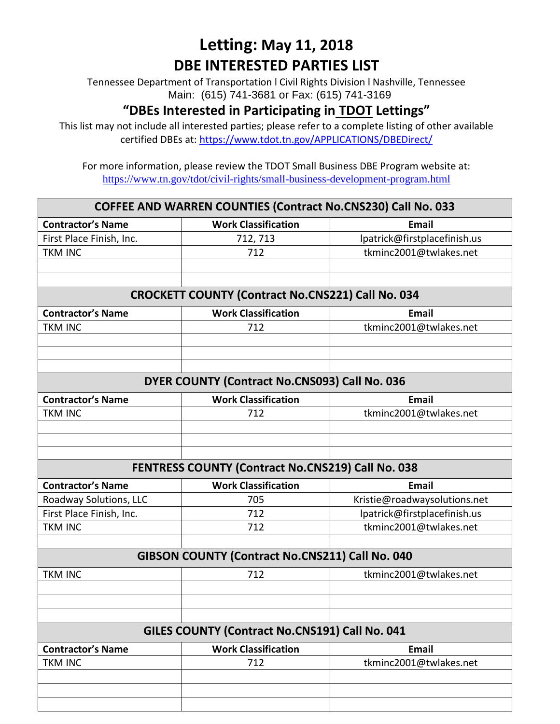Tennessee Department of Transportation l Civil Rights Division l Nashville, Tennessee Main: (615) 741-3681 or Fax: (615) 741-3169

#### **"DBEs Interested in Participating in TDOT Lettings"**

This list may not include all interested parties; please refer to a complete listing of other available certified DBEs at:<https://www.tdot.tn.gov/APPLICATIONS/DBEDirect/>

| <b>COFFEE AND WARREN COUNTIES (Contract No.CNS230) Call No. 033</b> |                                                          |                              |  |
|---------------------------------------------------------------------|----------------------------------------------------------|------------------------------|--|
| <b>Contractor's Name</b>                                            | <b>Work Classification</b>                               | <b>Email</b>                 |  |
| First Place Finish, Inc.                                            | 712, 713                                                 | lpatrick@firstplacefinish.us |  |
| <b>TKM INC</b>                                                      | 712                                                      | tkminc2001@twlakes.net       |  |
|                                                                     |                                                          |                              |  |
|                                                                     |                                                          |                              |  |
|                                                                     | <b>CROCKETT COUNTY (Contract No.CNS221) Call No. 034</b> |                              |  |
| <b>Contractor's Name</b>                                            | <b>Work Classification</b>                               | <b>Email</b>                 |  |
| <b>TKM INC</b>                                                      | 712                                                      | tkminc2001@twlakes.net       |  |
|                                                                     |                                                          |                              |  |
|                                                                     |                                                          |                              |  |
|                                                                     |                                                          |                              |  |
|                                                                     | DYER COUNTY (Contract No.CNS093) Call No. 036            |                              |  |
| <b>Contractor's Name</b>                                            | <b>Work Classification</b>                               | <b>Email</b>                 |  |
| <b>TKM INC</b>                                                      | 712                                                      | tkminc2001@twlakes.net       |  |
|                                                                     |                                                          |                              |  |
|                                                                     |                                                          |                              |  |
|                                                                     |                                                          |                              |  |
|                                                                     | <b>FENTRESS COUNTY (Contract No.CNS219) Call No. 038</b> |                              |  |
| <b>Contractor's Name</b>                                            | <b>Work Classification</b>                               | <b>Email</b>                 |  |
| Roadway Solutions, LLC                                              | 705                                                      | Kristie@roadwaysolutions.net |  |
| First Place Finish, Inc.                                            | 712                                                      | lpatrick@firstplacefinish.us |  |
| <b>TKM INC</b>                                                      | 712                                                      | tkminc2001@twlakes.net       |  |
|                                                                     |                                                          |                              |  |
|                                                                     | GIBSON COUNTY (Contract No.CNS211) Call No. 040          |                              |  |
| <b>TKM INC</b>                                                      | 712                                                      | tkminc2001@twlakes.net       |  |
|                                                                     |                                                          |                              |  |
|                                                                     |                                                          |                              |  |
|                                                                     |                                                          |                              |  |
|                                                                     | GILES COUNTY (Contract No.CNS191) Call No. 041           |                              |  |
| <b>Contractor's Name</b>                                            | <b>Work Classification</b>                               | <b>Email</b>                 |  |
| <b>TKM INC</b>                                                      | 712                                                      | tkminc2001@twlakes.net       |  |
|                                                                     |                                                          |                              |  |
|                                                                     |                                                          |                              |  |
|                                                                     |                                                          |                              |  |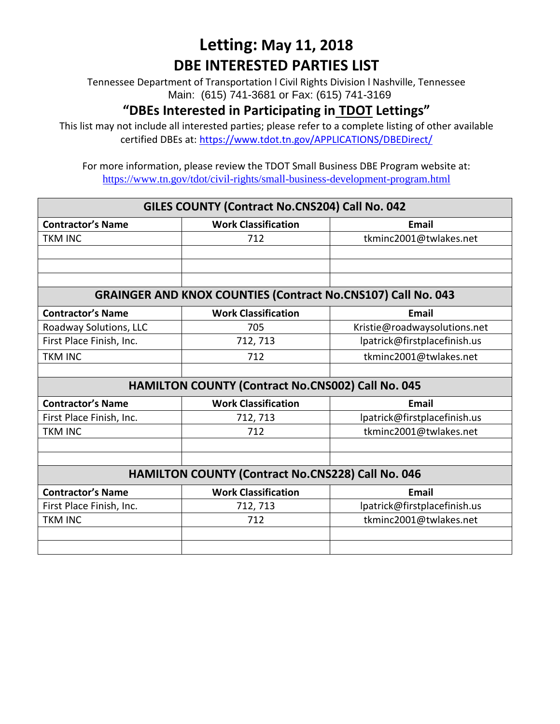Tennessee Department of Transportation l Civil Rights Division l Nashville, Tennessee Main: (615) 741-3681 or Fax: (615) 741-3169

#### **"DBEs Interested in Participating in TDOT Lettings"**

This list may not include all interested parties; please refer to a complete listing of other available certified DBEs at:<https://www.tdot.tn.gov/APPLICATIONS/DBEDirect/>

| GILES COUNTY (Contract No.CNS204) Call No. 042 |                                                                     |                              |  |
|------------------------------------------------|---------------------------------------------------------------------|------------------------------|--|
| <b>Contractor's Name</b>                       | <b>Work Classification</b>                                          | <b>Email</b>                 |  |
| <b>TKM INC</b>                                 | 712                                                                 | tkminc2001@twlakes.net       |  |
|                                                |                                                                     |                              |  |
|                                                |                                                                     |                              |  |
|                                                |                                                                     |                              |  |
|                                                | <b>GRAINGER AND KNOX COUNTIES (Contract No.CNS107) Call No. 043</b> |                              |  |
| <b>Contractor's Name</b>                       | <b>Work Classification</b>                                          | <b>Email</b>                 |  |
| Roadway Solutions, LLC                         | 705                                                                 | Kristie@roadwaysolutions.net |  |
| First Place Finish, Inc.                       | 712, 713                                                            | lpatrick@firstplacefinish.us |  |
| <b>TKM INC</b>                                 | 712                                                                 | tkminc2001@twlakes.net       |  |
|                                                |                                                                     |                              |  |
|                                                | <b>HAMILTON COUNTY (Contract No.CNS002) Call No. 045</b>            |                              |  |
| <b>Contractor's Name</b>                       | <b>Work Classification</b>                                          | <b>Email</b>                 |  |
| First Place Finish, Inc.                       | 712, 713                                                            | lpatrick@firstplacefinish.us |  |
| <b>TKM INC</b>                                 | 712                                                                 | tkminc2001@twlakes.net       |  |
|                                                |                                                                     |                              |  |
|                                                |                                                                     |                              |  |
|                                                | HAMILTON COUNTY (Contract No.CNS228) Call No. 046                   |                              |  |
| <b>Contractor's Name</b>                       | <b>Work Classification</b>                                          | <b>Email</b>                 |  |
| First Place Finish, Inc.                       | 712, 713                                                            | lpatrick@firstplacefinish.us |  |
| <b>TKM INC</b>                                 | 712                                                                 | tkminc2001@twlakes.net       |  |
|                                                |                                                                     |                              |  |
|                                                |                                                                     |                              |  |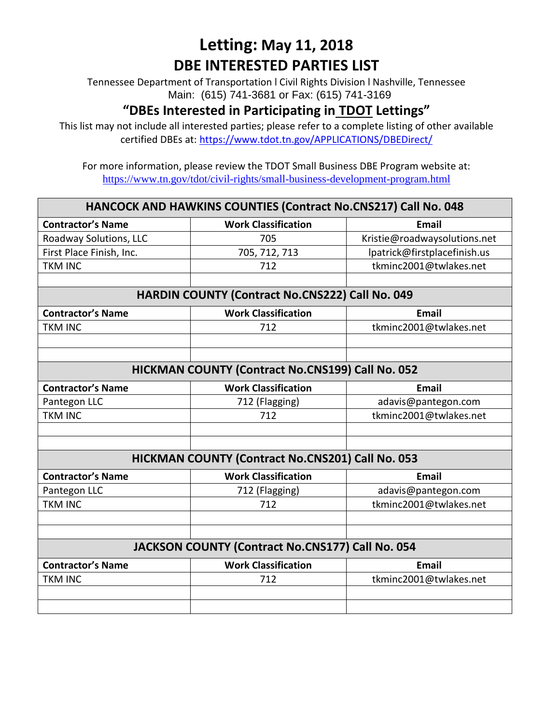Tennessee Department of Transportation l Civil Rights Division l Nashville, Tennessee Main: (615) 741-3681 or Fax: (615) 741-3169

#### **"DBEs Interested in Participating in TDOT Lettings"**

This list may not include all interested parties; please refer to a complete listing of other available certified DBEs at:<https://www.tdot.tn.gov/APPLICATIONS/DBEDirect/>

| HANCOCK AND HAWKINS COUNTIES (Contract No.CNS217) Call No. 048 |                                                         |                              |  |
|----------------------------------------------------------------|---------------------------------------------------------|------------------------------|--|
| <b>Contractor's Name</b>                                       | <b>Work Classification</b>                              | <b>Email</b>                 |  |
| Roadway Solutions, LLC                                         | 705                                                     | Kristie@roadwaysolutions.net |  |
| First Place Finish, Inc.                                       | 705, 712, 713                                           | lpatrick@firstplacefinish.us |  |
| <b>TKM INC</b>                                                 | 712                                                     | tkminc2001@twlakes.net       |  |
|                                                                |                                                         |                              |  |
|                                                                | <b>HARDIN COUNTY (Contract No.CNS222) Call No. 049</b>  |                              |  |
| <b>Contractor's Name</b>                                       | <b>Work Classification</b>                              | Email                        |  |
| <b>TKM INC</b>                                                 | 712                                                     | tkminc2001@twlakes.net       |  |
|                                                                |                                                         |                              |  |
|                                                                |                                                         |                              |  |
|                                                                | HICKMAN COUNTY (Contract No.CNS199) Call No. 052        |                              |  |
| <b>Contractor's Name</b>                                       | <b>Work Classification</b>                              | Email                        |  |
| Pantegon LLC                                                   | 712 (Flagging)                                          | adavis@pantegon.com          |  |
| <b>TKM INC</b>                                                 | 712                                                     | tkminc2001@twlakes.net       |  |
|                                                                |                                                         |                              |  |
|                                                                |                                                         |                              |  |
|                                                                | <b>HICKMAN COUNTY (Contract No.CNS201) Call No. 053</b> |                              |  |
| <b>Contractor's Name</b>                                       | <b>Work Classification</b>                              | <b>Email</b>                 |  |
| Pantegon LLC                                                   | 712 (Flagging)                                          | adavis@pantegon.com          |  |
| <b>TKM INC</b>                                                 | 712                                                     | tkminc2001@twlakes.net       |  |
|                                                                |                                                         |                              |  |
|                                                                |                                                         |                              |  |
| JACKSON COUNTY (Contract No.CNS177) Call No. 054               |                                                         |                              |  |
| <b>Contractor's Name</b>                                       | <b>Work Classification</b>                              | <b>Email</b>                 |  |
| <b>TKM INC</b>                                                 | 712                                                     | tkminc2001@twlakes.net       |  |
|                                                                |                                                         |                              |  |
|                                                                |                                                         |                              |  |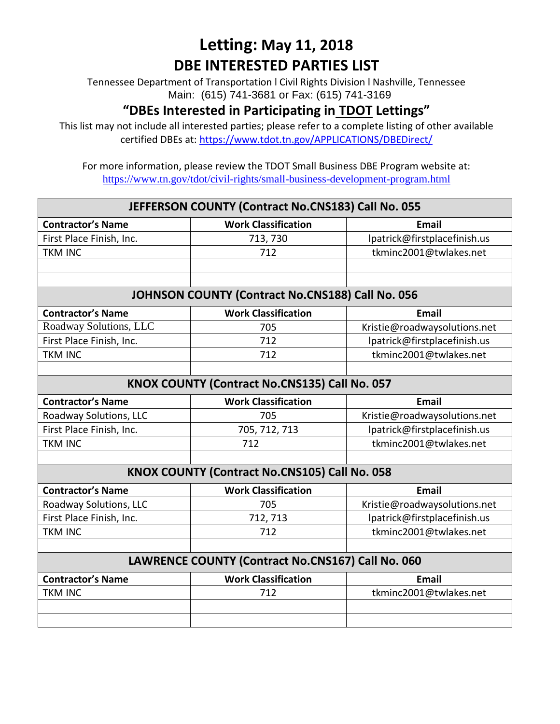Tennessee Department of Transportation l Civil Rights Division l Nashville, Tennessee Main: (615) 741-3681 or Fax: (615) 741-3169

#### **"DBEs Interested in Participating in TDOT Lettings"**

This list may not include all interested parties; please refer to a complete listing of other available certified DBEs at:<https://www.tdot.tn.gov/APPLICATIONS/DBEDirect/>

| JEFFERSON COUNTY (Contract No.CNS183) Call No. 055 |                                                  |                              |  |
|----------------------------------------------------|--------------------------------------------------|------------------------------|--|
| <b>Contractor's Name</b>                           | <b>Work Classification</b>                       | <b>Email</b>                 |  |
| First Place Finish, Inc.                           | 713, 730                                         | lpatrick@firstplacefinish.us |  |
| <b>TKM INC</b>                                     | 712                                              | tkminc2001@twlakes.net       |  |
|                                                    |                                                  |                              |  |
|                                                    |                                                  |                              |  |
|                                                    | JOHNSON COUNTY (Contract No.CNS188) Call No. 056 |                              |  |
| <b>Contractor's Name</b>                           | <b>Work Classification</b>                       | <b>Email</b>                 |  |
| Roadway Solutions, LLC                             | 705                                              | Kristie@roadwaysolutions.net |  |
| First Place Finish, Inc.                           | 712                                              | lpatrick@firstplacefinish.us |  |
| <b>TKM INC</b>                                     | 712                                              | tkminc2001@twlakes.net       |  |
|                                                    |                                                  |                              |  |
| KNOX COUNTY (Contract No.CNS135) Call No. 057      |                                                  |                              |  |
| <b>Contractor's Name</b>                           | <b>Work Classification</b>                       | <b>Email</b>                 |  |
| Roadway Solutions, LLC                             | 705                                              | Kristie@roadwaysolutions.net |  |
| First Place Finish, Inc.                           | 705, 712, 713                                    | lpatrick@firstplacefinish.us |  |
| <b>TKM INC</b>                                     | 712                                              | tkminc2001@twlakes.net       |  |
|                                                    |                                                  |                              |  |
|                                                    | KNOX COUNTY (Contract No.CNS105) Call No. 058    |                              |  |
| <b>Contractor's Name</b>                           | <b>Work Classification</b>                       | <b>Email</b>                 |  |
| Roadway Solutions, LLC                             | 705                                              | Kristie@roadwaysolutions.net |  |
| First Place Finish, Inc.                           | 712, 713                                         | lpatrick@firstplacefinish.us |  |
| <b>TKM INC</b>                                     | 712                                              | tkminc2001@twlakes.net       |  |
|                                                    |                                                  |                              |  |
| LAWRENCE COUNTY (Contract No.CNS167) Call No. 060  |                                                  |                              |  |
| <b>Contractor's Name</b>                           | <b>Work Classification</b>                       | <b>Email</b>                 |  |
| <b>TKM INC</b>                                     | 712                                              | tkminc2001@twlakes.net       |  |
|                                                    |                                                  |                              |  |
|                                                    |                                                  |                              |  |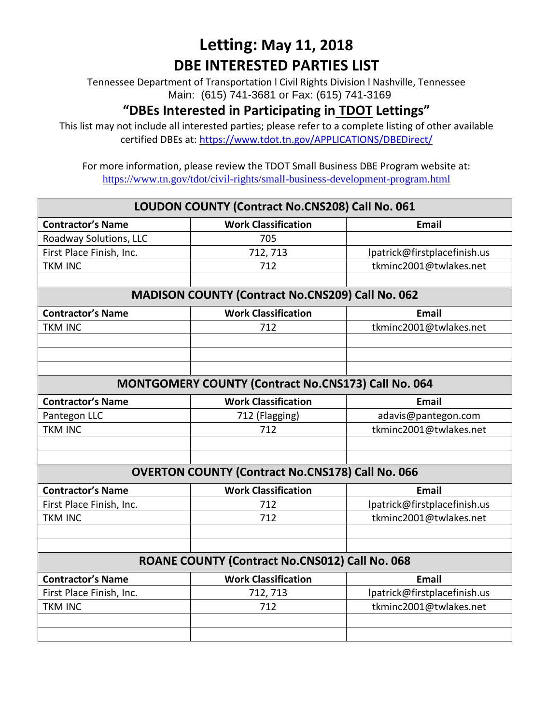Tennessee Department of Transportation l Civil Rights Division l Nashville, Tennessee Main: (615) 741-3681 or Fax: (615) 741-3169

#### **"DBEs Interested in Participating in TDOT Lettings"**

This list may not include all interested parties; please refer to a complete listing of other available certified DBEs at:<https://www.tdot.tn.gov/APPLICATIONS/DBEDirect/>

| LOUDON COUNTY (Contract No.CNS208) Call No. 061     |                                                         |                              |  |
|-----------------------------------------------------|---------------------------------------------------------|------------------------------|--|
| <b>Contractor's Name</b>                            | <b>Work Classification</b>                              | <b>Email</b>                 |  |
| Roadway Solutions, LLC                              | 705                                                     |                              |  |
| First Place Finish, Inc.                            | 712, 713                                                | lpatrick@firstplacefinish.us |  |
| <b>TKM INC</b>                                      | 712                                                     | tkminc2001@twlakes.net       |  |
|                                                     |                                                         |                              |  |
|                                                     | <b>MADISON COUNTY (Contract No.CNS209) Call No. 062</b> |                              |  |
| <b>Contractor's Name</b>                            | <b>Work Classification</b>                              | <b>Email</b>                 |  |
| <b>TKM INC</b>                                      | 712                                                     | tkminc2001@twlakes.net       |  |
|                                                     |                                                         |                              |  |
|                                                     |                                                         |                              |  |
|                                                     |                                                         |                              |  |
| MONTGOMERY COUNTY (Contract No.CNS173) Call No. 064 |                                                         |                              |  |
| <b>Contractor's Name</b>                            | <b>Work Classification</b>                              | <b>Email</b>                 |  |
| Pantegon LLC                                        | 712 (Flagging)                                          | adavis@pantegon.com          |  |
| <b>TKM INC</b>                                      | 712                                                     | tkminc2001@twlakes.net       |  |
|                                                     |                                                         |                              |  |
|                                                     |                                                         |                              |  |
|                                                     | <b>OVERTON COUNTY (Contract No.CNS178) Call No. 066</b> |                              |  |
| <b>Contractor's Name</b>                            | <b>Work Classification</b>                              | <b>Email</b>                 |  |
| First Place Finish, Inc.                            | 712                                                     | lpatrick@firstplacefinish.us |  |
| <b>TKM INC</b>                                      | 712                                                     | tkminc2001@twlakes.net       |  |
|                                                     |                                                         |                              |  |
|                                                     |                                                         |                              |  |
|                                                     | ROANE COUNTY (Contract No.CNS012) Call No. 068          |                              |  |
| <b>Contractor's Name</b>                            | <b>Work Classification</b>                              | <b>Email</b>                 |  |
| First Place Finish, Inc.                            | 712, 713                                                | lpatrick@firstplacefinish.us |  |
| <b>TKM INC</b>                                      | 712                                                     | tkminc2001@twlakes.net       |  |
|                                                     |                                                         |                              |  |
|                                                     |                                                         |                              |  |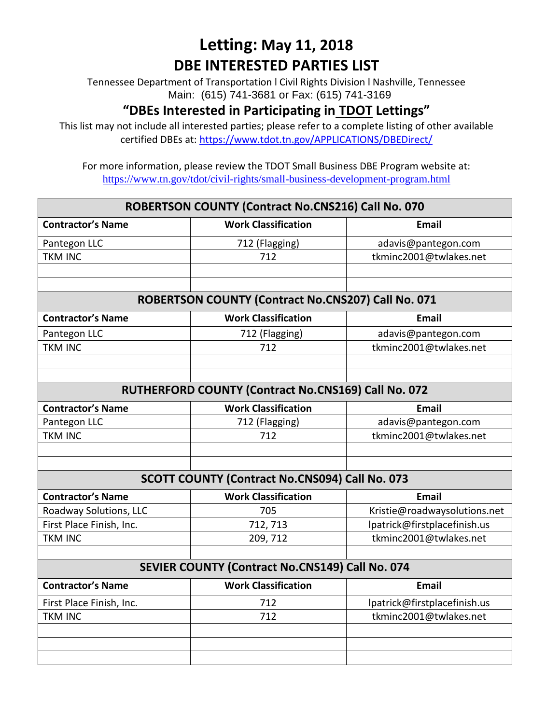Tennessee Department of Transportation l Civil Rights Division l Nashville, Tennessee Main: (615) 741-3681 or Fax: (615) 741-3169

#### **"DBEs Interested in Participating in TDOT Lettings"**

This list may not include all interested parties; please refer to a complete listing of other available certified DBEs at:<https://www.tdot.tn.gov/APPLICATIONS/DBEDirect/>

| ROBERTSON COUNTY (Contract No.CNS216) Call No. 070 |                                                     |                              |  |
|----------------------------------------------------|-----------------------------------------------------|------------------------------|--|
| <b>Contractor's Name</b>                           | <b>Work Classification</b>                          | <b>Email</b>                 |  |
| Pantegon LLC                                       | 712 (Flagging)                                      | adavis@pantegon.com          |  |
| <b>TKM INC</b>                                     | 712                                                 | tkminc2001@twlakes.net       |  |
|                                                    |                                                     |                              |  |
|                                                    |                                                     |                              |  |
|                                                    | ROBERTSON COUNTY (Contract No.CNS207) Call No. 071  |                              |  |
| <b>Contractor's Name</b>                           | <b>Work Classification</b>                          | <b>Email</b>                 |  |
| Pantegon LLC                                       | 712 (Flagging)                                      | adavis@pantegon.com          |  |
| <b>TKM INC</b>                                     | 712                                                 | tkminc2001@twlakes.net       |  |
|                                                    |                                                     |                              |  |
|                                                    |                                                     |                              |  |
|                                                    | RUTHERFORD COUNTY (Contract No.CNS169) Call No. 072 |                              |  |
| <b>Contractor's Name</b>                           | <b>Work Classification</b>                          | <b>Email</b>                 |  |
| Pantegon LLC                                       | 712 (Flagging)                                      | adavis@pantegon.com          |  |
| <b>TKM INC</b>                                     | 712                                                 | tkminc2001@twlakes.net       |  |
|                                                    |                                                     |                              |  |
|                                                    |                                                     |                              |  |
|                                                    | SCOTT COUNTY (Contract No.CNS094) Call No. 073      |                              |  |
| <b>Contractor's Name</b>                           | <b>Work Classification</b>                          | <b>Email</b>                 |  |
| Roadway Solutions, LLC                             | 705                                                 | Kristie@roadwaysolutions.net |  |
| First Place Finish, Inc.                           | 712, 713                                            | lpatrick@firstplacefinish.us |  |
| <b>TKM INC</b>                                     | 209, 712                                            | tkminc2001@twlakes.net       |  |
|                                                    |                                                     |                              |  |
|                                                    | SEVIER COUNTY (Contract No.CNS149) Call No. 074     |                              |  |
| <b>Contractor's Name</b>                           | <b>Work Classification</b>                          | <b>Email</b>                 |  |
| First Place Finish, Inc.                           | 712                                                 | lpatrick@firstplacefinish.us |  |
| <b>TKM INC</b>                                     | 712                                                 | tkminc2001@twlakes.net       |  |
|                                                    |                                                     |                              |  |
|                                                    |                                                     |                              |  |
|                                                    |                                                     |                              |  |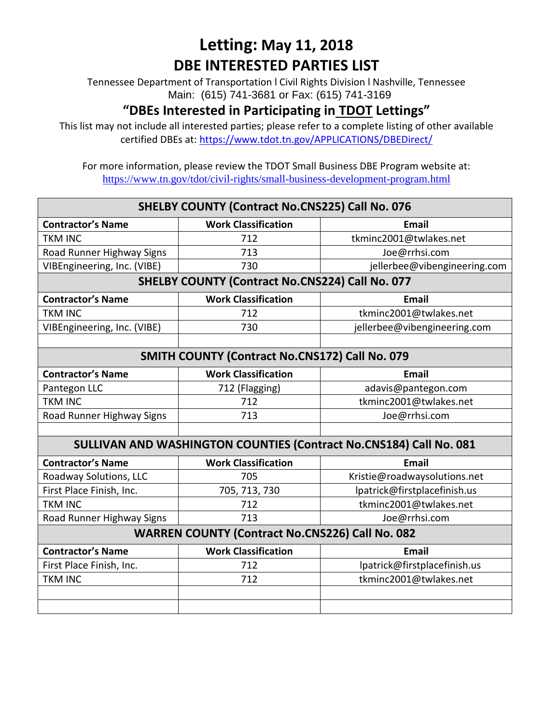Tennessee Department of Transportation l Civil Rights Division l Nashville, Tennessee Main: (615) 741-3681 or Fax: (615) 741-3169

#### **"DBEs Interested in Participating in TDOT Lettings"**

This list may not include all interested parties; please refer to a complete listing of other available certified DBEs at:<https://www.tdot.tn.gov/APPLICATIONS/DBEDirect/>

| SHELBY COUNTY (Contract No.CNS225) Call No. 076 |                                                        |                                                                    |
|-------------------------------------------------|--------------------------------------------------------|--------------------------------------------------------------------|
| <b>Contractor's Name</b>                        | <b>Work Classification</b>                             | <b>Email</b>                                                       |
| <b>TKM INC</b>                                  | 712                                                    | tkminc2001@twlakes.net                                             |
| Road Runner Highway Signs                       | 713                                                    | Joe@rrhsi.com                                                      |
| VIBEngineering, Inc. (VIBE)                     | 730                                                    | jellerbee@vibengineering.com                                       |
|                                                 | SHELBY COUNTY (Contract No.CNS224) Call No. 077        |                                                                    |
| <b>Contractor's Name</b>                        | <b>Work Classification</b>                             | <b>Email</b>                                                       |
| <b>TKM INC</b>                                  | 712                                                    | tkminc2001@twlakes.net                                             |
| VIBEngineering, Inc. (VIBE)                     | 730                                                    | jellerbee@vibengineering.com                                       |
|                                                 |                                                        |                                                                    |
| SMITH COUNTY (Contract No.CNS172) Call No. 079  |                                                        |                                                                    |
| <b>Contractor's Name</b>                        | <b>Work Classification</b>                             | <b>Email</b>                                                       |
| Pantegon LLC                                    | 712 (Flagging)                                         | adavis@pantegon.com                                                |
| <b>TKM INC</b>                                  | 712                                                    | tkminc2001@twlakes.net                                             |
| Road Runner Highway Signs                       | 713                                                    | Joe@rrhsi.com                                                      |
|                                                 |                                                        |                                                                    |
|                                                 |                                                        | SULLIVAN AND WASHINGTON COUNTIES (Contract No.CNS184) Call No. 081 |
| <b>Contractor's Name</b>                        | <b>Work Classification</b>                             | <b>Email</b>                                                       |
| Roadway Solutions, LLC                          | 705                                                    | Kristie@roadwaysolutions.net                                       |
| First Place Finish, Inc.                        | 705, 713, 730                                          | lpatrick@firstplacefinish.us                                       |
| <b>TKM INC</b>                                  | 712                                                    | tkminc2001@twlakes.net                                             |
| Road Runner Highway Signs                       | 713                                                    | Joe@rrhsi.com                                                      |
|                                                 | <b>WARREN COUNTY (Contract No.CNS226) Call No. 082</b> |                                                                    |
| <b>Contractor's Name</b>                        | <b>Work Classification</b>                             | <b>Email</b>                                                       |
| First Place Finish, Inc.                        | 712                                                    | lpatrick@firstplacefinish.us                                       |
| <b>TKM INC</b>                                  | 712                                                    | tkminc2001@twlakes.net                                             |
|                                                 |                                                        |                                                                    |
|                                                 |                                                        |                                                                    |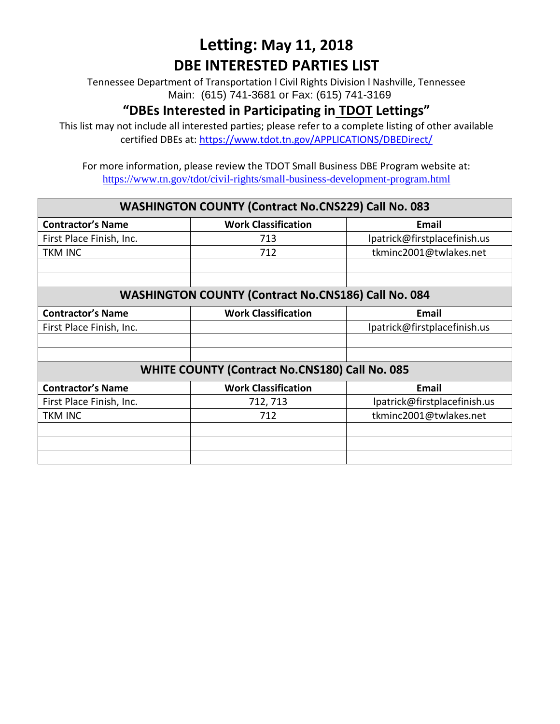Tennessee Department of Transportation l Civil Rights Division l Nashville, Tennessee Main: (615) 741-3681 or Fax: (615) 741-3169

#### **"DBEs Interested in Participating in TDOT Lettings"**

This list may not include all interested parties; please refer to a complete listing of other available certified DBEs at:<https://www.tdot.tn.gov/APPLICATIONS/DBEDirect/>

|                          | <b>WASHINGTON COUNTY (Contract No.CNS229) Call No. 083</b> |                              |
|--------------------------|------------------------------------------------------------|------------------------------|
| <b>Contractor's Name</b> | <b>Work Classification</b>                                 | <b>Email</b>                 |
| First Place Finish, Inc. | 713                                                        | lpatrick@firstplacefinish.us |
| <b>TKM INC</b>           | 712                                                        | tkminc2001@twlakes.net       |
|                          |                                                            |                              |
|                          |                                                            |                              |
|                          | <b>WASHINGTON COUNTY (Contract No.CNS186) Call No. 084</b> |                              |
| <b>Contractor's Name</b> | <b>Work Classification</b>                                 | <b>Email</b>                 |
| First Place Finish, Inc. |                                                            | lpatrick@firstplacefinish.us |
|                          |                                                            |                              |
|                          |                                                            |                              |
|                          | <b>WHITE COUNTY (Contract No.CNS180) Call No. 085</b>      |                              |
| <b>Contractor's Name</b> | <b>Work Classification</b>                                 | <b>Email</b>                 |
| First Place Finish, Inc. | 712, 713                                                   | lpatrick@firstplacefinish.us |
| <b>TKM INC</b>           | 712                                                        | tkminc2001@twlakes.net       |
|                          |                                                            |                              |
|                          |                                                            |                              |
|                          |                                                            |                              |